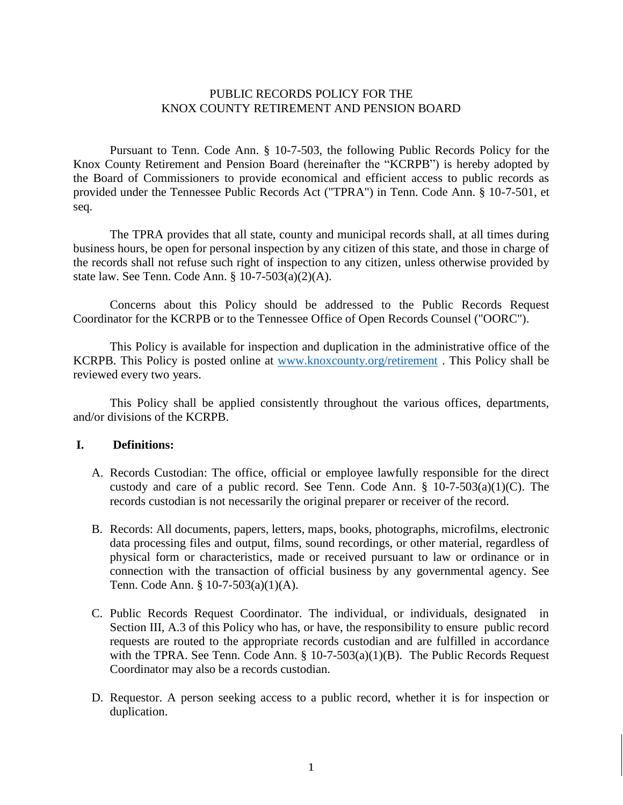#### PUBLIC RECORDS POLICY FOR THE KNOX COUNTY RETIREMENT AND PENSION BOARD

Pursuant to Tenn. Code Ann. § 10-7-503, the following Public Records Policy for the Knox County Retirement and Pension Board (hereinafter the "KCRPB") is hereby adopted by the Board of Commissioners to provide economical and efficient access to public records as provided under the Tennessee Public Records Act ("TPRA") in Tenn. Code Ann. § 10-7-501, et seq.

The TPRA provides that all state, county and municipal records shall, at all times during business hours, be open for personal inspection by any citizen of this state, and those in charge of the records shall not refuse such right of inspection to any citizen, unless otherwise provided by state law. See Tenn. Code Ann. § 10-7-503(a)(2)(A).

Concerns about this Policy should be addressed to the Public Records Request Coordinator for the KCRPB or to the Tennessee Office of Open Records Counsel ("OORC").

This Policy is available for inspection and duplication in the administrative office of the KCRPB. This Policy is posted online at [www.knoxcounty.org/retirement](http://www.knoxcounty.org/retirement) . This Policy shall be reviewed every two years.

This Policy shall be applied consistently throughout the various offices, departments, and/or divisions of the KCRPB.

#### **I. Definitions:**

- A. Records Custodian: The office, official or employee lawfully responsible for the direct custody and care of a public record. See Tenn. Code Ann.  $\S$  10-7-503(a)(1)(C). The records custodian is not necessarily the original preparer or receiver of the record.
- B. Records: All documents, papers, letters, maps, books, photographs, microfilms, electronic data processing files and output, films, sound recordings, or other material, regardless of physical form or characteristics, made or received pursuant to law or ordinance or in connection with the transaction of official business by any governmental agency. See Tenn. Code Ann. § 10-7-503(a)(1)(A).
- C. Public Records Request Coordinator. The individual, or individuals, designated in Section III, A.3 of this Policy who has, or have, the responsibility to ensure public record requests are routed to the appropriate records custodian and are fulfilled in accordance with the TPRA. See Tenn. Code Ann.  $\S$  10-7-503(a)(1)(B). The Public Records Request Coordinator may also be a records custodian.
- D. Requestor. A person seeking access to a public record, whether it is for inspection or duplication.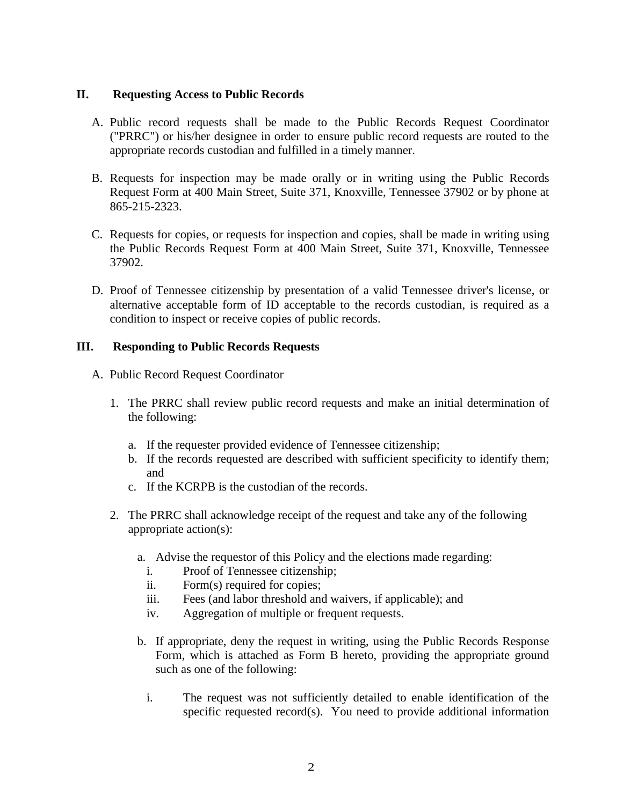### **II. Requesting Access to Public Records**

- A. Public record requests shall be made to the Public Records Request Coordinator ("PRRC") or his/her designee in order to ensure public record requests are routed to the appropriate records custodian and fulfilled in a timely manner.
- B. Requests for inspection may be made orally or in writing using the Public Records Request Form at 400 Main Street, Suite 371, Knoxville, Tennessee 37902 or by phone at 865-215-2323.
- C. Requests for copies, or requests for inspection and copies, shall be made in writing using the Public Records Request Form at 400 Main Street, Suite 371, Knoxville, Tennessee 37902.
- D. Proof of Tennessee citizenship by presentation of a valid Tennessee driver's license, or alternative acceptable form of ID acceptable to the records custodian, is required as a condition to inspect or receive copies of public records.

### **III. Responding to Public Records Requests**

- A. Public Record Request Coordinator
	- 1. The PRRC shall review public record requests and make an initial determination of the following:
		- a. If the requester provided evidence of Tennessee citizenship;
		- b. If the records requested are described with sufficient specificity to identify them; and
		- c. If the KCRPB is the custodian of the records.
	- 2. The PRRC shall acknowledge receipt of the request and take any of the following appropriate action(s):
		- a. Advise the requestor of this Policy and the elections made regarding:
			- i. Proof of Tennessee citizenship;
			- ii. Form(s) required for copies;
			- iii. Fees (and labor threshold and waivers, if applicable); and
			- iv. Aggregation of multiple or frequent requests.
		- b. If appropriate, deny the request in writing, using the Public Records Response Form, which is attached as Form B hereto, providing the appropriate ground such as one of the following:
			- i. The request was not sufficiently detailed to enable identification of the specific requested record(s). You need to provide additional information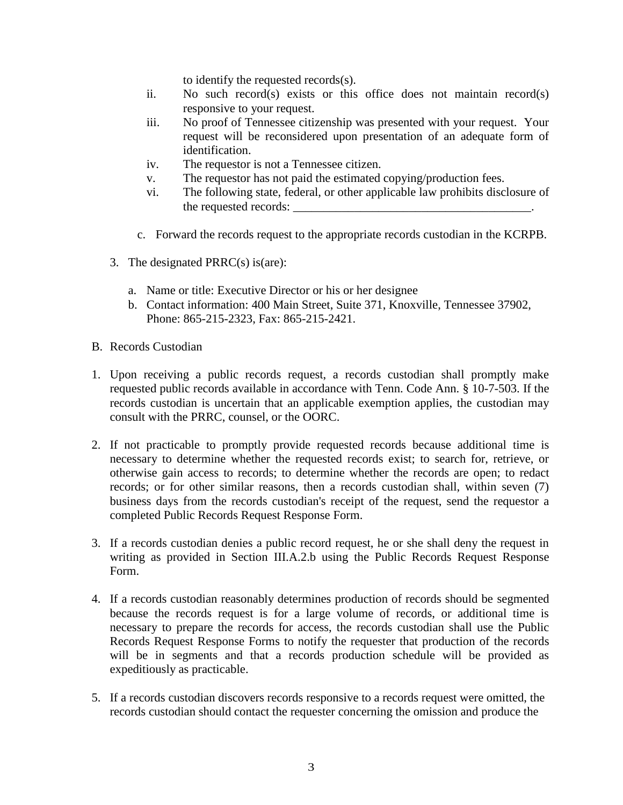to identify the requested records(s).

- ii. No such record(s) exists or this office does not maintain record(s) responsive to your request.
- iii. No proof of Tennessee citizenship was presented with your request. Your request will be reconsidered upon presentation of an adequate form of identification.
- iv. The requestor is not a Tennessee citizen.
- v. The requestor has not paid the estimated copying/production fees.
- vi. The following state, federal, or other applicable law prohibits disclosure of the requested records:
- c. Forward the records request to the appropriate records custodian in the KCRPB.
- 3. The designated  $PRRC(s)$  is(are):
	- a. Name or title: Executive Director or his or her designee
	- b. Contact information: 400 Main Street, Suite 371, Knoxville, Tennessee 37902, Phone: 865-215-2323, Fax: 865-215-2421.
- B. Records Custodian
- 1. Upon receiving a public records request, a records custodian shall promptly make requested public records available in accordance with Tenn. Code Ann. § 10-7-503. If the records custodian is uncertain that an applicable exemption applies, the custodian may consult with the PRRC, counsel, or the OORC.
- 2. If not practicable to promptly provide requested records because additional time is necessary to determine whether the requested records exist; to search for, retrieve, or otherwise gain access to records; to determine whether the records are open; to redact records; or for other similar reasons, then a records custodian shall, within seven (7) business days from the records custodian's receipt of the request, send the requestor a completed Public Records Request Response Form.
- 3. If a records custodian denies a public record request, he or she shall deny the request in writing as provided in Section III.A.2.b using the Public Records Request Response Form.
- 4. If a records custodian reasonably determines production of records should be segmented because the records request is for a large volume of records, or additional time is necessary to prepare the records for access, the records custodian shall use the Public Records Request Response Forms to notify the requester that production of the records will be in segments and that a records production schedule will be provided as expeditiously as practicable.
- 5. If a records custodian discovers records responsive to a records request were omitted, the records custodian should contact the requester concerning the omission and produce the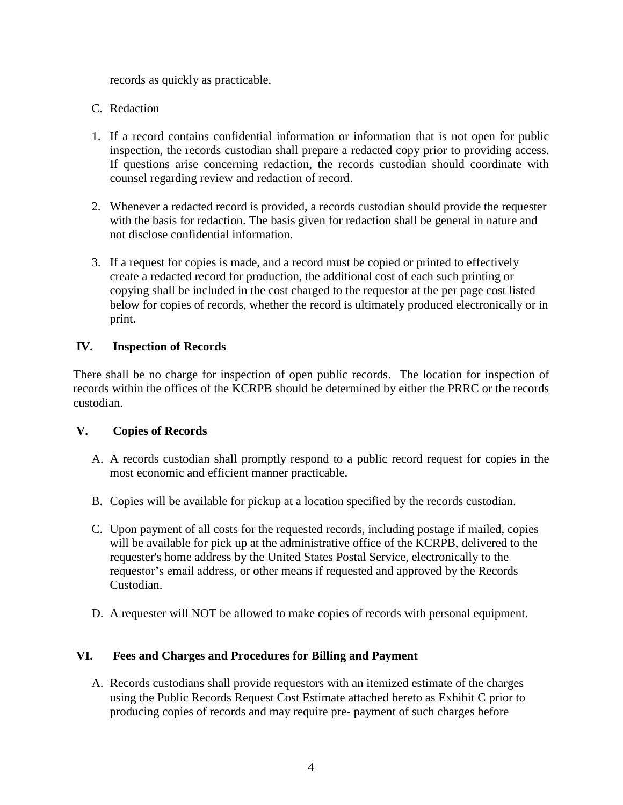records as quickly as practicable.

- C. Redaction
- 1. If a record contains confidential information or information that is not open for public inspection, the records custodian shall prepare a redacted copy prior to providing access. If questions arise concerning redaction, the records custodian should coordinate with counsel regarding review and redaction of record.
- 2. Whenever a redacted record is provided, a records custodian should provide the requester with the basis for redaction. The basis given for redaction shall be general in nature and not disclose confidential information.
- 3. If a request for copies is made, and a record must be copied or printed to effectively create a redacted record for production, the additional cost of each such printing or copying shall be included in the cost charged to the requestor at the per page cost listed below for copies of records, whether the record is ultimately produced electronically or in print.

## **IV. Inspection of Records**

There shall be no charge for inspection of open public records. The location for inspection of records within the offices of the KCRPB should be determined by either the PRRC or the records custodian.

## **V. Copies of Records**

- A. A records custodian shall promptly respond to a public record request for copies in the most economic and efficient manner practicable.
- B. Copies will be available for pickup at a location specified by the records custodian.
- C. Upon payment of all costs for the requested records, including postage if mailed, copies will be available for pick up at the administrative office of the KCRPB, delivered to the requester's home address by the United States Postal Service, electronically to the requestor's email address, or other means if requested and approved by the Records Custodian.
- D. A requester will NOT be allowed to make copies of records with personal equipment.

# **VI. Fees and Charges and Procedures for Billing and Payment**

A. Records custodians shall provide requestors with an itemized estimate of the charges using the Public Records Request Cost Estimate attached hereto as Exhibit C prior to producing copies of records and may require pre- payment of such charges before